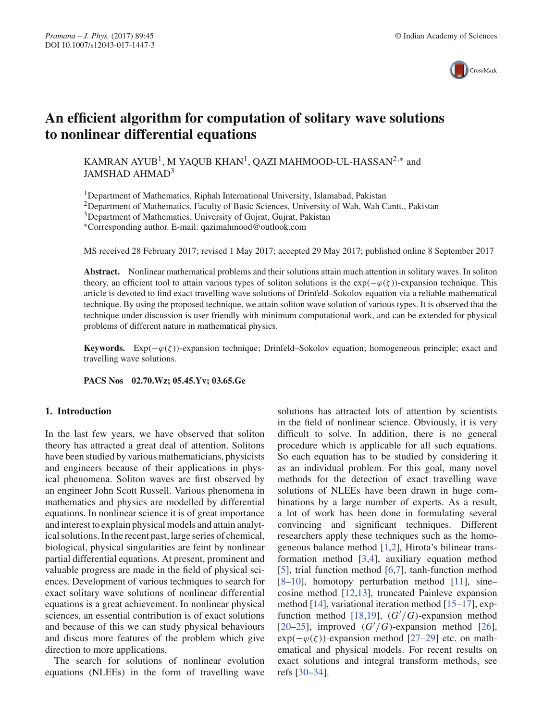

# **An efficient algorithm for computation of solitary wave solutions to nonlinear differential equations**

KAMRAN AYUB<sup>1</sup>, M YAQUB KHAN<sup>1</sup>, QAZI MAHMOOD-UL-HASSAN<sup>2,∗</sup> and JAMSHAD AHMAD3

<sup>1</sup>Department of Mathematics, Riphah International University, Islamabad, Pakistan

2Department of Mathematics, Faculty of Basic Sciences, University of Wah, Wah Cantt., Pakistan

<sup>3</sup>Department of Mathematics, University of Gujrat, Gujrat, Pakistan

∗Corresponding author. E-mail: qazimahmood@outlook.com

MS received 28 February 2017; revised 1 May 2017; accepted 29 May 2017; published online 8 September 2017

**Abstract.** Nonlinear mathematical problems and their solutions attain much attention in solitary waves. In soliton theory, an efficient tool to attain various types of soliton solutions is the  $exp(-\varphi(\zeta))$ -expansion technique. This article is devoted to find exact travelling wave solutions of Drinfeld–Sokolov equation via a reliable mathematical technique. By using the proposed technique, we attain soliton wave solution of various types. It is observed that the technique under discussion is user friendly with minimum computational work, and can be extended for physical problems of different nature in mathematical physics.

**Keywords.** Exp( $-\varphi(\zeta)$ )-expansion technique; Drinfeld–Sokolov equation; homogeneous principle; exact and travelling wave solutions.

**PACS Nos 02.70.Wz; 05.45.Yv; 03.65.Ge**

#### **1. Introduction**

In the last few years, we have observed that soliton theory has attracted a great deal of attention. Solitons have been studied by various mathematicians, physicists and engineers because of their applications in physical phenomena. Soliton waves are first observed by an engineer John Scott Russell. Various phenomena in mathematics and physics are modelled by differential equations. In nonlinear science it is of great importance and interest to explain physical models and attain analytical solutions. In the recent past, large series of chemical, biological, physical singularities are feint by nonlinear partial differential equations. At present, prominent and valuable progress are made in the field of physical sciences. Development of various techniques to search for exact solitary wave solutions of nonlinear differential equations is a great achievement. In nonlinear physical sciences, an essential contribution is of exact solutions and because of this we can study physical behaviours and discus more features of the problem which give direction to more applications.

The search for solutions of nonlinear evolution equations (NLEEs) in the form of travelling wave solutions has attracted lots of attention by scientists in the field of nonlinear science. Obviously, it is very difficult to solve. In addition, there is no general procedure which is applicable for all such equations. So each equation has to be studied by considering it as an individual problem. For this goal, many novel methods for the detection of exact travelling wave solutions of NLEEs have been drawn in huge combinations by a large number of experts. As a result, a lot of work has been done in formulating several convincing and significant techniques. Different researchers apply these techniques such as the homogeneous balance method [1,2], Hirota's bilinear transformation method [3,4], auxiliary equation method [5], trial function method [6,7], tanh-function method [8–10], homotopy perturbation method [11], sine– cosine method [12,13], truncated Painleve expansion method [14], variational iteration method [15–17], expfunction method [18,19],  $(G'/G)$ -expansion method [20–25], improved  $(G'/G)$ -expansion method [26],  $exp(-\varphi(\zeta))$ -expansion method [27–29] etc. on mathematical and physical models. For recent results on exact solutions and integral transform methods, see refs [30–34].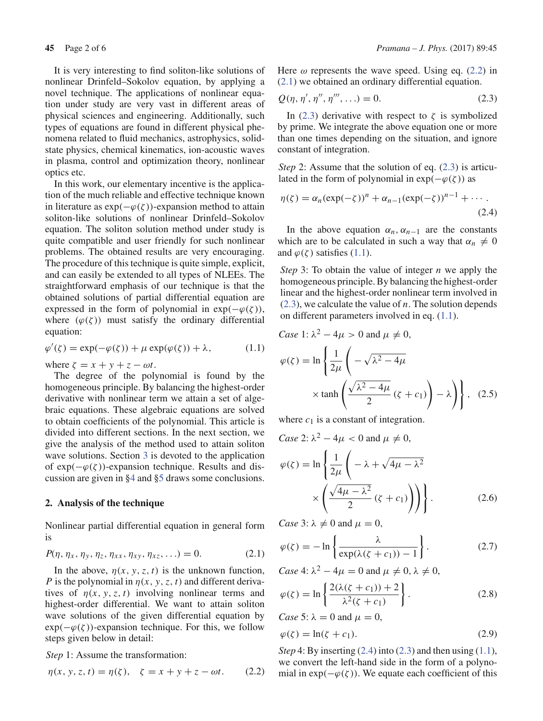It is very interesting to find soliton-like solutions of nonlinear Drinfeld–Sokolov equation, by applying a novel technique. The applications of nonlinear equation under study are very vast in different areas of physical sciences and engineering. Additionally, such types of equations are found in different physical phenomena related to fluid mechanics, astrophysics, solidstate physics, chemical kinematics, ion-acoustic waves in plasma, control and optimization theory, nonlinear optics etc.

In this work, our elementary incentive is the application of the much reliable and effective technique known in literature as  $exp(-\varphi(\zeta))$ -expansion method to attain soliton-like solutions of nonlinear Drinfeld–Sokolov equation. The soliton solution method under study is quite compatible and user friendly for such nonlinear problems. The obtained results are very encouraging. The procedure of this technique is quite simple, explicit, and can easily be extended to all types of NLEEs. The straightforward emphasis of our technique is that the obtained solutions of partial differential equation are expressed in the form of polynomial in  $exp(-\varphi(\zeta))$ , where  $(\varphi(\zeta))$  must satisfy the ordinary differential equation:

$$
\varphi'(\zeta) = \exp(-\varphi(\zeta)) + \mu \exp(\varphi(\zeta)) + \lambda, \tag{1.1}
$$

where  $\zeta = x + y + z - \omega t$ .

The degree of the polynomial is found by the homogeneous principle. By balancing the highest-order derivative with nonlinear term we attain a set of algebraic equations. These algebraic equations are solved to obtain coefficients of the polynomial. This article is divided into different sections. In the next section, we give the analysis of the method used to attain soliton wave solutions. Section 3 is devoted to the application of  $exp(-\varphi(\zeta))$ -expansion technique. Results and discussion are given in §4 and §5 draws some conclusions.

## **2. Analysis of the technique**

Nonlinear partial differential equation in general form is

$$
P(\eta, \eta_x, \eta_y, \eta_z, \eta_{xx}, \eta_{xy}, \eta_{xz}, \ldots) = 0.
$$
 (2.1)

In the above,  $\eta(x, y, z, t)$  is the unknown function, *P* is the polynomial in  $\eta(x, y, z, t)$  and different derivatives of  $\eta(x, y, z, t)$  involving nonlinear terms and highest-order differential. We want to attain soliton wave solutions of the given differential equation by  $exp(-\varphi(\zeta))$ -expansion technique. For this, we follow steps given below in detail:

*Step* 1: Assume the transformation:

$$
\eta(x, y, z, t) = \eta(\zeta), \quad \zeta = x + y + z - \omega t. \tag{2.2}
$$

Here  $\omega$  represents the wave speed. Using eq. (2.2) in (2.1) we obtained an ordinary differential equation.

$$
Q(\eta, \eta', \eta'', \eta''', \ldots) = 0. \tag{2.3}
$$

In (2.3) derivative with respect to  $\zeta$  is symbolized by prime. We integrate the above equation one or more than one times depending on the situation, and ignore constant of integration.

*Step* 2: Assume that the solution of eq. (2.3) is articulated in the form of polynomial in  $exp(-\varphi(\zeta))$  as

$$
\eta(\zeta) = \alpha_n(\exp(-\zeta))^n + \alpha_{n-1}(\exp(-\zeta))^{n-1} + \cdots
$$
\n(2.4)

In the above equation  $\alpha_n$ ,  $\alpha_{n-1}$  are the constants which are to be calculated in such a way that  $\alpha_n \neq 0$ and  $\varphi(\zeta)$  satisfies (1.1).

*Step* 3: To obtain the value of integer *n* we apply the homogeneous principle. By balancing the highest-order linear and the highest-order nonlinear term involved in (2.3), we calculate the value of *n*. The solution depends on different parameters involved in eq. (1.1).

Case 1: 
$$
\lambda^2 - 4\mu > 0
$$
 and  $\mu \neq 0$ ,  
\n
$$
\varphi(\zeta) = \ln \left\{ \frac{1}{2\mu} \left( -\sqrt{\lambda^2 - 4\mu} \times \tanh \left( \frac{\sqrt{\lambda^2 - 4\mu}}{2} \left( \zeta + c_1 \right) \right) - \lambda \right) \right\}, \quad (2.5)
$$

where  $c_1$  is a constant of integration.

*Case* 2:  $\lambda^2 - 4\mu < 0$  and  $\mu \neq 0$ ,

$$
\varphi(\zeta) = \ln \left\{ \frac{1}{2\mu} \left( -\lambda + \sqrt{4\mu - \lambda^2} \right) \times \left( \frac{\sqrt{4\mu - \lambda^2}}{2} (\zeta + c_1) \right) \right\}.
$$
 (2.6)

*Case* 3:  $\lambda \neq 0$  and  $\mu = 0$ ,

$$
\varphi(\zeta) = -\ln\left\{\frac{\lambda}{\exp(\lambda(\zeta + c_1)) - 1}\right\}.
$$
\n(2.7)

*Case* 4:  $\lambda^2 - 4\mu = 0$  and  $\mu \neq 0$ ,  $\lambda \neq 0$ ,

$$
\varphi(\zeta) = \ln \left\{ \frac{2(\lambda(\zeta + c_1)) + 2}{\lambda^2(\zeta + c_1)} \right\}.
$$
\n(2.8)

*Case* 5:  $\lambda = 0$  and  $\mu = 0$ ,

$$
\varphi(\zeta) = \ln(\zeta + c_1). \tag{2.9}
$$

*Step* 4: By inserting  $(2.4)$  into  $(2.3)$  and then using  $(1.1)$ , we convert the left-hand side in the form of a polynomial in  $exp(-\varphi(\zeta))$ . We equate each coefficient of this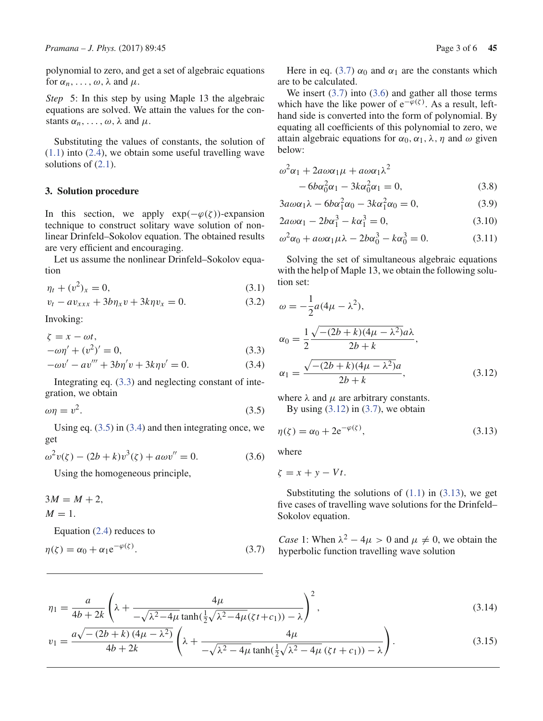polynomial to zero, and get a set of algebraic equations for  $\alpha_n, \ldots, \omega$ ,  $\lambda$  and  $\mu$ .

*Step* 5: In this step by using Maple 13 the algebraic equations are solved. We attain the values for the constants  $\alpha_n, \ldots, \omega, \lambda$  and  $\mu$ .

Substituting the values of constants, the solution of  $(1.1)$  into  $(2.4)$ , we obtain some useful travelling wave solutions of  $(2.1)$ .

# **3. Solution procedure**

In this section, we apply  $exp(-\varphi(\zeta))$ -expansion technique to construct solitary wave solution of nonlinear Drinfeld–Sokolov equation. The obtained results are very efficient and encouraging.

Let us assume the nonlinear Drinfeld–Sokolov equation

$$
\eta_t + (v^2)_x = 0,\t\t(3.1)
$$

$$
v_t - av_{xxx} + 3b\eta_x v + 3k\eta v_x = 0. \tag{3.2}
$$

Invoking:

$$
\zeta = x - \omega t, -\omega \eta' + (v^2)' = 0,
$$
 (3.3)

$$
-\omega v' - av''' + 3b\eta' v + 3k\eta v' = 0.
$$
 (3.4)

Integrating eq. (3.3) and neglecting constant of integration, we obtain

$$
\omega \eta = v^2. \tag{3.5}
$$

Using eq.  $(3.5)$  in  $(3.4)$  and then integrating once, we get

$$
\omega^2 v(\zeta) - (2b + k)v^3(\zeta) + a\omega v'' = 0.
$$
 (3.6)

Using the homogeneous principle,

$$
3M = M + 2,
$$
  
 
$$
M = 1.
$$
  
 Equation (2.4) reduces to

$$
\eta(\zeta) = \alpha_0 + \alpha_1 e^{-\varphi(\zeta)}.
$$
\n(3.7)

Here in eq. (3.7)  $\alpha_0$  and  $\alpha_1$  are the constants which are to be calculated.

We insert  $(3.7)$  into  $(3.6)$  and gather all those terms which have the like power of  $e^{-\overline{\varphi}(\zeta)}$ . As a result, lefthand side is converted into the form of polynomial. By equating all coefficients of this polynomial to zero, we attain algebraic equations for  $\alpha_0$ ,  $\alpha_1$ ,  $\lambda$ ,  $\eta$  and  $\omega$  given below:

$$
\omega^2 \alpha_1 + 2a\omega \alpha_1 \mu + a\omega \alpha_1 \lambda^2
$$
  
-  $6b\alpha_0^2 \alpha_1 - 3k\alpha_0^2 \alpha_1 = 0,$  (3.8)

$$
3a\omega\alpha_1\lambda - 6b\alpha_1^2\alpha_0 - 3k\alpha_1^2\alpha_0 = 0, \qquad (3.9)
$$

$$
2a\omega\alpha_1 - 2b\alpha_1^3 - k\alpha_1^3 = 0,
$$
\n(3.10)

$$
\omega^2 \alpha_0 + a \omega \alpha_1 \mu \lambda - 2b \alpha_0^3 - k \alpha_0^3 = 0. \tag{3.11}
$$

Solving the set of simultaneous algebraic equations with the help of Maple 13, we obtain the following solution set:

$$
\omega = -\frac{1}{2}a(4\mu - \lambda^2),
$$
  
\n
$$
\alpha_0 = \frac{1}{2} \frac{\sqrt{-(2b+k)(4\mu - \lambda^2)}a\lambda}{2b+k},
$$
  
\n
$$
\alpha_1 = \frac{\sqrt{-(2b+k)(4\mu - \lambda^2)}a}{2b+k},
$$
\n(3.12)

where  $\lambda$  and  $\mu$  are arbitrary constants. By using  $(3.12)$  in  $(3.7)$ , we obtain

$$
\eta(\zeta) = \alpha_0 + 2e^{-\varphi(\zeta)},\tag{3.13}
$$

where

$$
\zeta = x + y - Vt.
$$

Substituting the solutions of  $(1.1)$  in  $(3.13)$ , we get five cases of travelling wave solutions for the Drinfeld– Sokolov equation.

*Case* 1: When  $\lambda^2 - 4\mu > 0$  and  $\mu \neq 0$ , we obtain the hyperbolic function travelling wave solution

$$
\eta_1 = \frac{a}{4b + 2k} \left( \lambda + \frac{4\mu}{-\sqrt{\lambda^2 - 4\mu} \tanh(\frac{1}{2}\sqrt{\lambda^2 - 4\mu}(\zeta t + c_1)) - \lambda} \right)^2,
$$
\n(3.14)

$$
v_1 = \frac{a\sqrt{-(2b+k)(4\mu - \lambda^2)}}{4b+2k} \left(\lambda + \frac{4\mu}{-\sqrt{\lambda^2 - 4\mu}\tanh(\frac{1}{2}\sqrt{\lambda^2 - 4\mu}(\zeta t + c_1)) - \lambda}\right).
$$
 (3.15)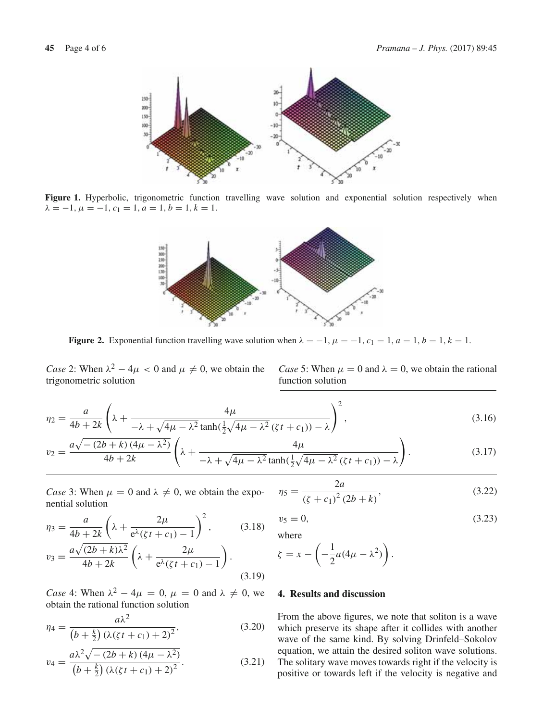

Figure 1. Hyperbolic, trigonometric function travelling wave solution and exponential solution respectively when  $\lambda = -1, \mu = -1, c_1 = 1, a = 1, b = 1, k = 1.$ 



**Figure 2.** Exponential function travelling wave solution when  $\lambda = -1$ ,  $\mu = -1$ ,  $c_1 = 1$ ,  $a = 1$ ,  $b = 1$ ,  $k = 1$ .

*Case* 2: When  $\lambda^2 - 4\mu < 0$  and  $\mu \neq 0$ , we obtain the trigonometric solution

*Case* 5: When  $\mu = 0$  and  $\lambda = 0$ , we obtain the rational function solution

$$
\eta_2 = \frac{a}{4b + 2k} \left( \lambda + \frac{4\mu}{-\lambda + \sqrt{4\mu - \lambda^2} \tanh(\frac{1}{2}\sqrt{4\mu - \lambda^2}(\zeta t + c_1)) - \lambda} \right)^2, \tag{3.16}
$$

$$
v_2 = \frac{a\sqrt{-(2b+k)(4\mu - \lambda^2)}}{4b+2k} \left(\lambda + \frac{4\mu}{-\lambda + \sqrt{4\mu - \lambda^2} \tanh(\frac{1}{2}\sqrt{4\mu - \lambda^2}(\zeta t + c_1)) - \lambda}\right). \tag{3.17}
$$

*Case* 3: When  $\mu = 0$  and  $\lambda \neq 0$ , we obtain the exponential solution

$$
\eta_3 = \frac{a}{4b + 2k} \left( \lambda + \frac{2\mu}{e^{\lambda} (\zeta t + c_1) - 1} \right)^2, \quad (3.18)
$$

$$
v_3 = \frac{a\sqrt{(2b+k)\lambda^2}}{4b+2k} \left(\lambda + \frac{2\mu}{e^{\lambda}(\zeta t + c_1) - 1}\right).
$$
\n(3.19)

*Case* 4: When  $\lambda^2 - 4\mu = 0$ ,  $\mu = 0$  and  $\lambda \neq 0$ , we obtain the rational function solution

$$
\eta_4 = \frac{a\lambda^2}{\left(b + \frac{k}{2}\right)\left(\lambda(\zeta t + c_1) + 2\right)^2},\tag{3.20}
$$

$$
v_4 = \frac{a\lambda^2\sqrt{-(2b+k)(4\mu-\lambda^2)}}{(b+\frac{k}{2})(\lambda(\zeta t + c_1) + 2)^2}.
$$
 (3.21)

$$
\eta_5 = \frac{2a}{\left(\zeta + c_1\right)^2 (2b + k)},\tag{3.22}
$$

$$
v_5 = 0,\t(3.23)
$$

where

$$
\zeta = x - \left(-\frac{1}{2}a(4\mu - \lambda^2)\right).
$$

### **4. Results and discussion**

From the above figures, we note that soliton is a wave which preserve its shape after it collides with another wave of the same kind. By solving Drinfeld–Sokolov equation, we attain the desired soliton wave solutions. The solitary wave moves towards right if the velocity is positive or towards left if the velocity is negative and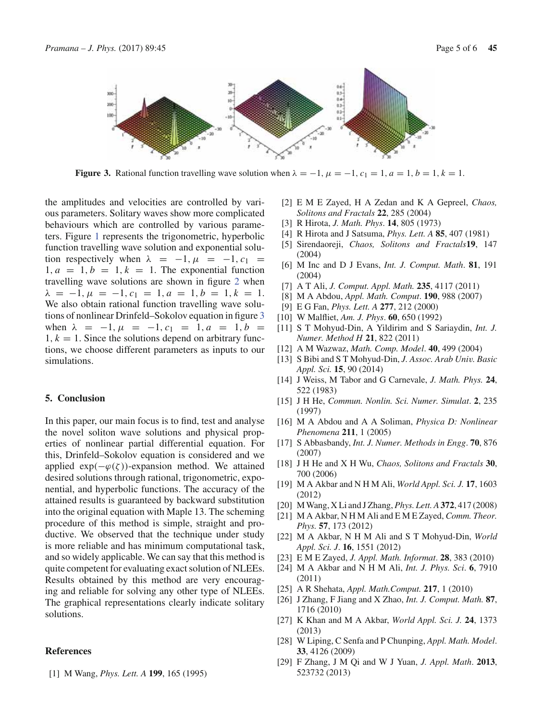

**Figure 3.** Rational function travelling wave solution when  $\lambda = -1$ ,  $\mu = -1$ ,  $c_1 = 1$ ,  $a = 1$ ,  $b = 1$ ,  $k = 1$ .

the amplitudes and velocities are controlled by various parameters. Solitary waves show more complicated behaviours which are controlled by various parameters. Figure 1 represents the trigonometric, hyperbolic function travelling wave solution and exponential solution respectively when  $\lambda = -1, \mu = -1, c_1 =$  $1, a = 1, b = 1, k = 1$ . The exponential function travelling wave solutions are shown in figure 2 when  $\lambda = -1, \mu = -1, c_1 = 1, a = 1, b = 1, k = 1.$ We also obtain rational function travelling wave solutions of nonlinear Drinfeld–Sokolov equation in figure 3 when  $\lambda = -1, \mu = -1, c_1 = 1, a = 1, b =$  $1, k = 1$ . Since the solutions depend on arbitrary functions, we choose different parameters as inputs to our simulations.

#### **5. Conclusion**

In this paper, our main focus is to find, test and analyse the novel soliton wave solutions and physical properties of nonlinear partial differential equation. For this, Drinfeld–Sokolov equation is considered and we applied  $exp(-\varphi(\zeta))$ -expansion method. We attained desired solutions through rational, trigonometric, exponential, and hyperbolic functions. The accuracy of the attained results is guaranteed by backward substitution into the original equation with Maple 13. The scheming procedure of this method is simple, straight and productive. We observed that the technique under study is more reliable and has minimum computational task, and so widely applicable. We can say that this method is quite competent for evaluating exact solution of NLEEs. Results obtained by this method are very encouraging and reliable for solving any other type of NLEEs. The graphical representations clearly indicate solitary solutions.

## **References**

[1] M Wang, *Phys. Lett. A* **199**, 165 (1995)

- [2] E M E Zayed, H A Zedan and K A Gepreel, *Chaos, Solitons and Fractals* **22**, 285 (2004)
- [3] R Hirota, *J. Math. Phys*. **14**, 805 (1973)
- [4] R Hirota and J Satsuma, *Phys. Lett. A* **85**, 407 (1981)
- [5] Sirendaoreji, *Chaos, Solitons and Fractals***19**, 147 (2004)
- [6] M Inc and D J Evans, *Int. J. Comput. Math*. **81**, 191 (2004)
- [7] A T Ali, *J. Comput. Appl. Math.* **235**, 4117 (2011)
- [8] M A Abdou, *Appl. Math. Comput*. **190**, 988 (2007)
- [9] E G Fan, *Phys. Lett. A* **277**, 212 (2000)
- [10] W Malfliet, *Am. J. Phys*. **60**, 650 (1992)
- [11] S T Mohyud-Din, A Yildirim and S Sariaydin, *Int. J. Numer. Method H* **21**, 822 (2011)
- [12] A M Wazwaz, *Math. Comp. Model*. **40**, 499 (2004)
- [13] S Bibi and S T Mohyud-Din, *J. Assoc. Arab Univ. Basic Appl. Sci.* **15**, 90 (2014)
- [14] J Weiss, M Tabor and G Carnevale, *J. Math. Phys.* **24**, 522 (1983)
- [15] J H He, *Commun. Nonlin. Sci. Numer. Simulat*. **2**, 235 (1997)
- [16] M A Abdou and A A Soliman, *Physica D: Nonlinear Phenomena* **211**, 1 (2005)
- [17] S Abbasbandy, *Int. J. Numer. Methods in Engg*. **70**, 876 (2007)
- [18] J H He and X H Wu, *Chaos, Solitons and Fractals* **30**, 700 (2006)
- [19] M A Akbar and N H M Ali, *World Appl. Sci. J.* **17**, 1603 (2012)
- [20] M Wang, X Li and J Zhang, *Phys. Lett. A* **372**, 417 (2008)
- [21] M A Akbar, N H M Ali and E M E Zayed, *Comm. Theor. Phys.* **57**, 173 (2012)
- [22] M A Akbar, N H M Ali and S T Mohyud-Din, *World Appl. Sci. J*. **16**, 1551 (2012)
- [23] E M E Zayed, *J. Appl. Math. Informat*. **28**, 383 (2010)
- [24] M A Akbar and N H M Ali, *Int. J. Phys. Sci*. **6**, 7910 (2011)
- [25] A R Shehata, *Appl. Math.Comput.* **217**, 1 (2010)
- [26] J Zhang, F Jiang and X Zhao, *Int. J. Comput. Math.* **87**, 1716 (2010)
- [27] K Khan and M A Akbar, *World Appl. Sci. J.* **24**, 1373 (2013)
- [28] W Liping, C Senfa and P Chunping, *Appl. Math. Model*. **33**, 4126 (2009)
- [29] F Zhang, J M Qi and W J Yuan, *J. Appl. Math*. **2013**, 523732 (2013)